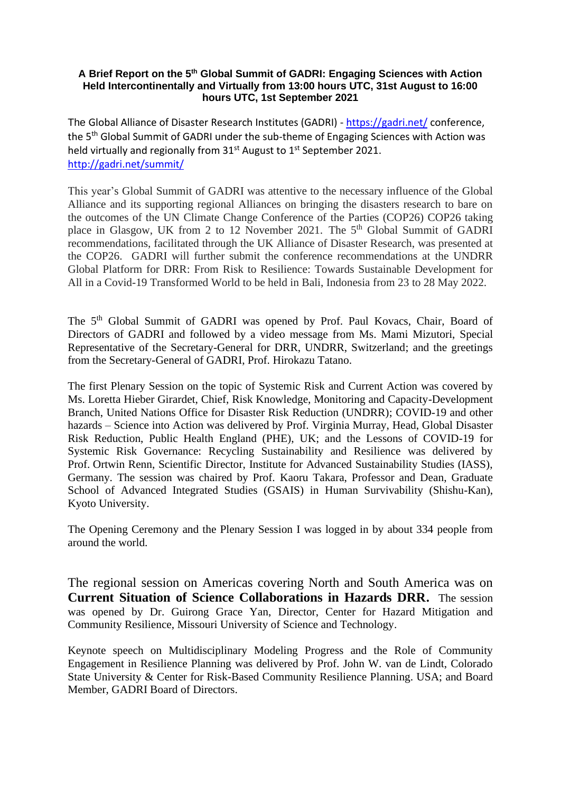#### **A Brief Report on the 5 th Global Summit of GADRI: Engaging Sciences with Action Held Intercontinentally and Virtually from 13:00 hours UTC, 31st August to 16:00 hours UTC, 1st September 2021**

The Global Alliance of Disaster Research Institutes (GADRI) - <https://gadri.net/> conference, the 5<sup>th</sup> Global Summit of GADRI under the sub-theme of Engaging Sciences with Action was held virtually and regionally from 31<sup>st</sup> August to 1<sup>st</sup> September 2021. <http://gadri.net/summit/>

This year's Global Summit of GADRI was attentive to the necessary influence of the Global Alliance and its supporting regional Alliances on bringing the disasters research to bare on the outcomes of the UN Climate Change Conference of the Parties (COP26) COP26 taking place in Glasgow, UK from 2 to 12 November 2021. The 5<sup>th</sup> Global Summit of GADRI recommendations, facilitated through the UK Alliance of Disaster Research, was presented at the COP26. GADRI will further submit the conference recommendations at the UNDRR Global Platform for DRR: From Risk to Resilience: Towards Sustainable Development for All in a Covid-19 Transformed World to be held in Bali, Indonesia from 23 to 28 May 2022.

The 5<sup>th</sup> Global Summit of GADRI was opened by Prof. Paul Kovacs, Chair, Board of Directors of GADRI and followed by a video message from Ms. Mami Mizutori, Special Representative of the Secretary-General for DRR, UNDRR, Switzerland; and the greetings from the Secretary-General of GADRI, Prof. Hirokazu Tatano.

The first Plenary Session on the topic of Systemic Risk and Current Action was covered by Ms. Loretta Hieber Girardet, Chief, Risk Knowledge, Monitoring and Capacity-Development Branch, United Nations Office for Disaster Risk Reduction (UNDRR); COVID-19 and other hazards – Science into Action was delivered by Prof. Virginia Murray, Head, Global Disaster Risk Reduction, Public Health England (PHE), UK; and the Lessons of COVID-19 for Systemic Risk Governance: Recycling Sustainability and Resilience was delivered by Prof. Ortwin Renn, Scientific Director, Institute for Advanced Sustainability Studies (IASS), Germany. The session was chaired by Prof. Kaoru Takara, Professor and Dean, Graduate School of Advanced Integrated Studies (GSAIS) in Human Survivability (Shishu-Kan), Kyoto University.

The Opening Ceremony and the Plenary Session I was logged in by about 334 people from around the world.

The regional session on Americas covering North and South America was on **Current Situation of Science Collaborations in Hazards DRR.** The session was opened by Dr. Guirong Grace Yan, Director, Center for Hazard Mitigation and Community Resilience, Missouri University of Science and Technology.

Keynote speech on Multidisciplinary Modeling Progress and the Role of Community Engagement in Resilience Planning was delivered by Prof. John W. van de Lindt, Colorado State University & Center for Risk-Based Community Resilience Planning. USA; and Board Member, GADRI Board of Directors.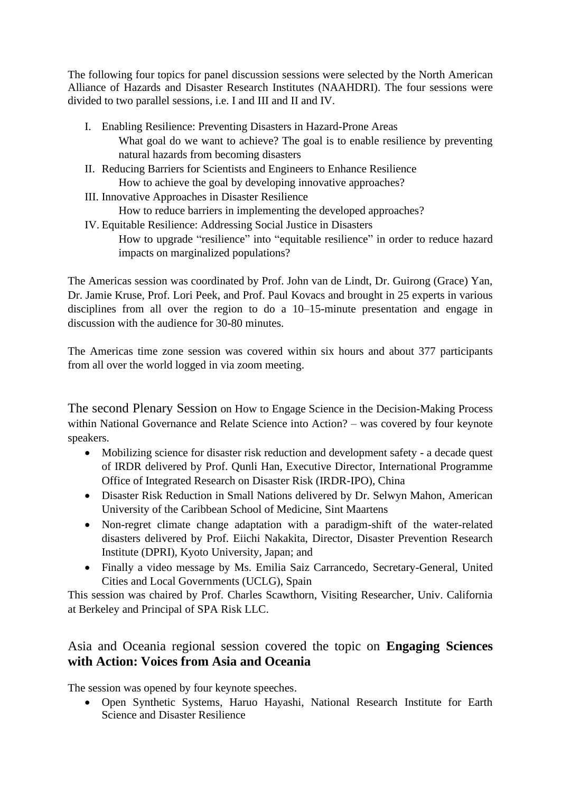The following four topics for panel discussion sessions were selected by the North American Alliance of Hazards and Disaster Research Institutes (NAAHDRI). The four sessions were divided to two parallel sessions, i.e. I and III and II and IV.

- I. Enabling Resilience: Preventing Disasters in Hazard-Prone Areas What goal do we want to achieve? The goal is to enable resilience by preventing natural hazards from becoming disasters
- II. Reducing Barriers for Scientists and Engineers to Enhance Resilience How to achieve the goal by developing innovative approaches?
- III. Innovative Approaches in Disaster Resilience
	- How to reduce barriers in implementing the developed approaches?
- IV. Equitable Resilience: Addressing Social Justice in Disasters How to upgrade "resilience" into "equitable resilience" in order to reduce hazard impacts on marginalized populations?

The Americas session was coordinated by Prof. John van de Lindt, Dr. Guirong (Grace) Yan, Dr. Jamie Kruse, Prof. Lori Peek, and Prof. Paul Kovacs and brought in 25 experts in various disciplines from all over the region to do a 10–15-minute presentation and engage in discussion with the audience for 30-80 minutes.

The Americas time zone session was covered within six hours and about 377 participants from all over the world logged in via zoom meeting.

The second Plenary Session on How to Engage Science in the Decision-Making Process within National Governance and Relate Science into Action? – was covered by four keynote speakers.

- Mobilizing science for disaster risk reduction and development safety a decade quest of IRDR delivered by Prof. Qunli Han, Executive Director, International Programme Office of Integrated Research on Disaster Risk (IRDR-IPO), China
- Disaster Risk Reduction in Small Nations delivered by Dr. Selwyn Mahon, American University of the Caribbean School of Medicine, Sint Maartens
- Non-regret climate change adaptation with a paradigm-shift of the water-related disasters delivered by Prof. Eiichi Nakakita, Director, Disaster Prevention Research Institute (DPRI), Kyoto University, Japan; and
- Finally a video message by Ms. Emilia Saiz Carrancedo, Secretary-General, United Cities and Local Governments (UCLG), Spain

This session was chaired by Prof. Charles Scawthorn, Visiting Researcher, Univ. California at Berkeley and Principal of SPA Risk LLC.

# Asia and Oceania regional session covered the topic on **Engaging Sciences with Action: Voices from Asia and Oceania**

The session was opened by four keynote speeches.

• Open Synthetic Systems, Haruo Hayashi, National Research Institute for Earth Science and Disaster Resilience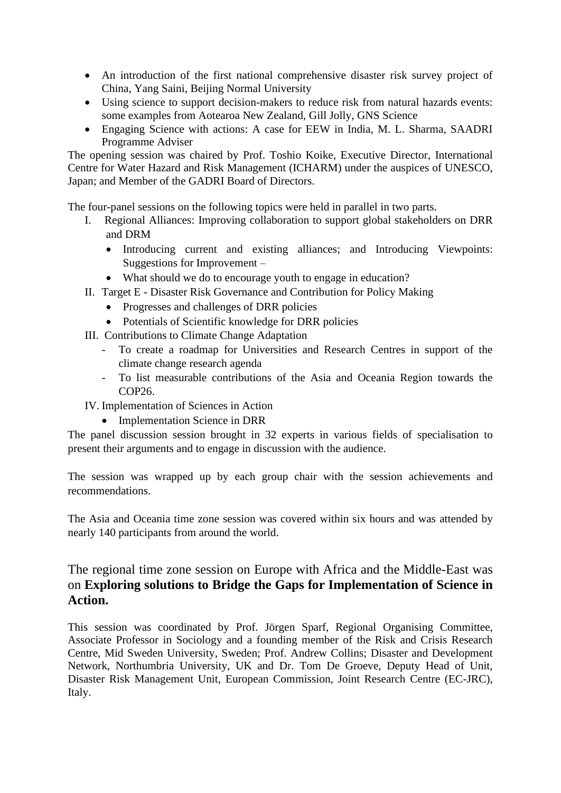- An introduction of the first national comprehensive disaster risk survey project of China, Yang Saini, Beijing Normal University
- Using science to support decision-makers to reduce risk from natural hazards events: some examples from Aotearoa New Zealand, Gill Jolly, GNS Science
- Engaging Science with actions: A case for EEW in India, M. L. Sharma, SAADRI Programme Adviser

The opening session was chaired by Prof. Toshio Koike, Executive Director, International Centre for Water Hazard and Risk Management (ICHARM) under the auspices of UNESCO, Japan; and Member of the GADRI Board of Directors.

The four-panel sessions on the following topics were held in parallel in two parts.

- I. Regional Alliances: Improving collaboration to support global stakeholders on DRR and DRM
	- Introducing current and existing alliances; and Introducing Viewpoints: Suggestions for Improvement –
	- What should we do to encourage youth to engage in education?
- II. Target E Disaster Risk Governance and Contribution for Policy Making
	- Progresses and challenges of DRR policies
	- Potentials of Scientific knowledge for DRR policies
- III. Contributions to Climate Change Adaptation
	- To create a roadmap for Universities and Research Centres in support of the climate change research agenda
	- To list measurable contributions of the Asia and Oceania Region towards the COP26.
- IV. Implementation of Sciences in Action
	- Implementation Science in DRR

The panel discussion session brought in 32 experts in various fields of specialisation to present their arguments and to engage in discussion with the audience.

The session was wrapped up by each group chair with the session achievements and recommendations.

The Asia and Oceania time zone session was covered within six hours and was attended by nearly 140 participants from around the world.

## The regional time zone session on Europe with Africa and the Middle-East was on **Exploring solutions to Bridge the Gaps for Implementation of Science in Action.**

This session was coordinated by Prof. Jörgen Sparf, Regional Organising Committee, Associate Professor in Sociology and a founding member of the Risk and Crisis Research Centre, Mid Sweden University, Sweden; Prof. Andrew Collins; Disaster and Development Network, Northumbria University, UK and Dr. Tom De Groeve, Deputy Head of Unit, Disaster Risk Management Unit, European Commission, Joint Research Centre (EC-JRC), Italy.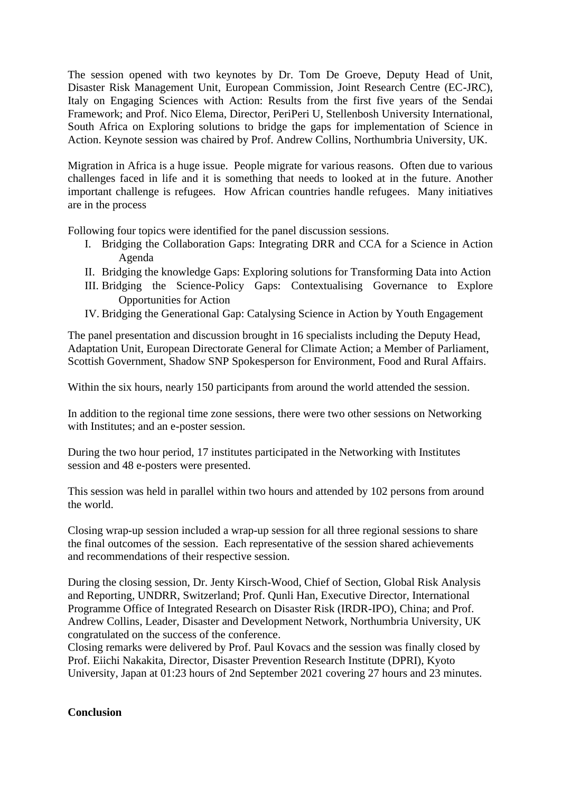The session opened with two keynotes by Dr. Tom De Groeve, Deputy Head of Unit, Disaster Risk Management Unit, European Commission, Joint Research Centre (EC-JRC), Italy on Engaging Sciences with Action: Results from the first five years of the Sendai Framework; and Prof. Nico Elema, Director, PeriPeri U, Stellenbosh University International, South Africa on Exploring solutions to bridge the gaps for implementation of Science in Action. Keynote session was chaired by Prof. Andrew Collins, Northumbria University, UK.

Migration in Africa is a huge issue. People migrate for various reasons. Often due to various challenges faced in life and it is something that needs to looked at in the future. Another important challenge is refugees. How African countries handle refugees. Many initiatives are in the process

Following four topics were identified for the panel discussion sessions.

- I. Bridging the Collaboration Gaps: Integrating DRR and CCA for a Science in Action Agenda
- II. Bridging the knowledge Gaps: Exploring solutions for Transforming Data into Action
- III. Bridging the Science-Policy Gaps: Contextualising Governance to Explore Opportunities for Action
- IV. Bridging the Generational Gap: Catalysing Science in Action by Youth Engagement

The panel presentation and discussion brought in 16 specialists including the Deputy Head, Adaptation Unit, European Directorate General for Climate Action; a Member of Parliament, Scottish Government, Shadow SNP Spokesperson for Environment, Food and Rural Affairs.

Within the six hours, nearly 150 participants from around the world attended the session.

In addition to the regional time zone sessions, there were two other sessions on Networking with Institutes; and an e-poster session.

During the two hour period, 17 institutes participated in the Networking with Institutes session and 48 e-posters were presented.

This session was held in parallel within two hours and attended by 102 persons from around the world.

Closing wrap-up session included a wrap-up session for all three regional sessions to share the final outcomes of the session. Each representative of the session shared achievements and recommendations of their respective session.

During the closing session, Dr. Jenty Kirsch-Wood, Chief of Section, Global Risk Analysis and Reporting, UNDRR, Switzerland; Prof. Qunli Han, Executive Director, International Programme Office of Integrated Research on Disaster Risk (IRDR-IPO), China; and Prof. Andrew Collins, Leader, Disaster and Development Network, Northumbria University, UK congratulated on the success of the conference.

Closing remarks were delivered by Prof. Paul Kovacs and the session was finally closed by Prof. Eiichi Nakakita, Director, Disaster Prevention Research Institute (DPRI), Kyoto University, Japan at 01:23 hours of 2nd September 2021 covering 27 hours and 23 minutes.

### **Conclusion**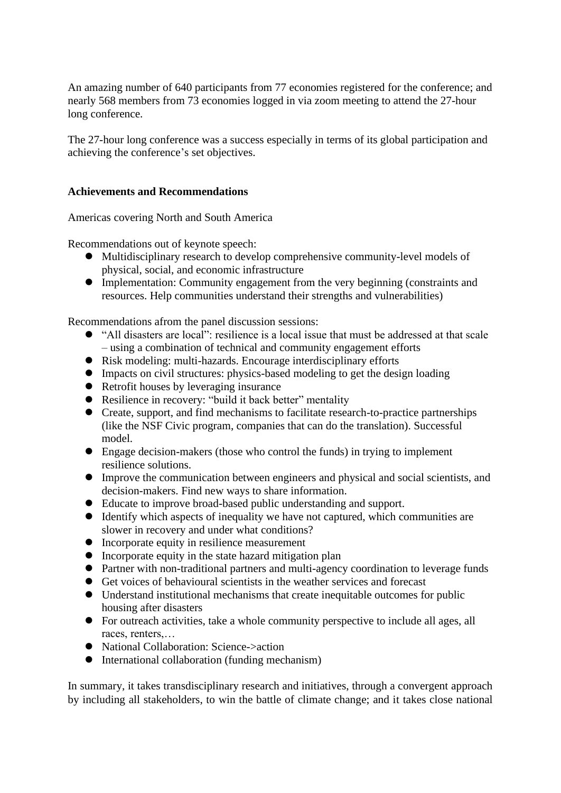An amazing number of 640 participants from 77 economies registered for the conference; and nearly 568 members from 73 economies logged in via zoom meeting to attend the 27-hour long conference.

The 27-hour long conference was a success especially in terms of its global participation and achieving the conference's set objectives.

#### **Achievements and Recommendations**

Americas covering North and South America

Recommendations out of keynote speech:

- ⚫ Multidisciplinary research to develop comprehensive community-level models of physical, social, and economic infrastructure
- ⚫ Implementation: Community engagement from the very beginning (constraints and resources. Help communities understand their strengths and vulnerabilities)

Recommendations afrom the panel discussion sessions:

- "All disasters are local": resilience is a local issue that must be addressed at that scale – using a combination of technical and community engagement efforts
- ⚫ Risk modeling: multi-hazards. Encourage interdisciplinary efforts
- ⚫ Impacts on civil structures: physics-based modeling to get the design loading
- Retrofit houses by leveraging insurance
- Resilience in recovery: "build it back better" mentality
- ⚫ Create, support, and find mechanisms to facilitate research-to-practice partnerships (like the NSF Civic program, companies that can do the translation). Successful model.
- ⚫ Engage decision-makers (those who control the funds) in trying to implement resilience solutions.
- ⚫ Improve the communication between engineers and physical and social scientists, and decision-makers. Find new ways to share information.
- ⚫ Educate to improve broad-based public understanding and support.
- ⚫ Identify which aspects of inequality we have not captured, which communities are slower in recovery and under what conditions?
- ⚫ Incorporate equity in resilience measurement
- ⚫ Incorporate equity in the state hazard mitigation plan
- ⚫ Partner with non-traditional partners and multi-agency coordination to leverage funds
- ⚫ Get voices of behavioural scientists in the weather services and forecast
- ⚫ Understand institutional mechanisms that create inequitable outcomes for public housing after disasters
- ⚫ For outreach activities, take a whole community perspective to include all ages, all races, renters,…
- National Collaboration: Science->action
- ⚫ International collaboration (funding mechanism)

In summary, it takes transdisciplinary research and initiatives, through a convergent approach by including all stakeholders, to win the battle of climate change; and it takes close national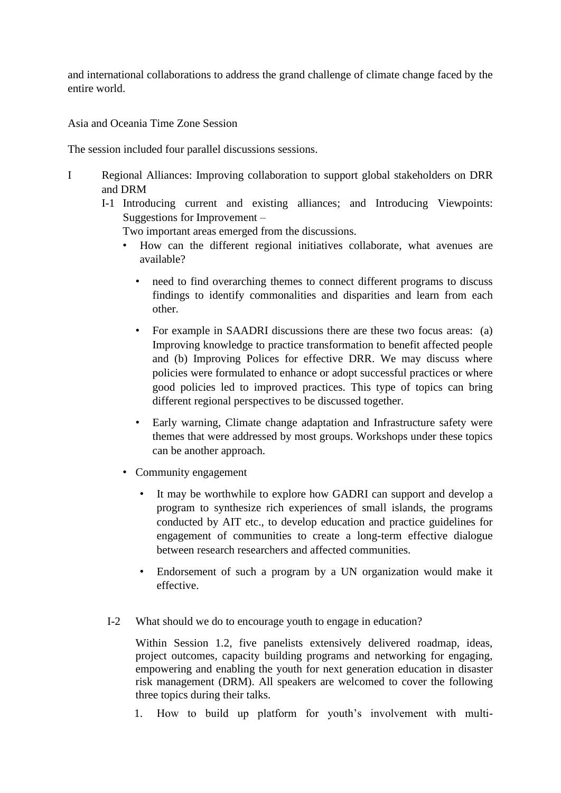and international collaborations to address the grand challenge of climate change faced by the entire world.

Asia and Oceania Time Zone Session

The session included four parallel discussions sessions.

- I Regional Alliances: Improving collaboration to support global stakeholders on DRR and DRM
	- I-1 Introducing current and existing alliances; and Introducing Viewpoints: Suggestions for Improvement –

Two important areas emerged from the discussions.

- How can the different regional initiatives collaborate, what avenues are available?
	- hered to find overarching themes to connect different programs to discuss findings to identify commonalities and disparities and learn from each other.
	- For example in SAADRI discussions there are these two focus areas: (a) Improving knowledge to practice transformation to benefit affected people and (b) Improving Polices for effective DRR. We may discuss where policies were formulated to enhance or adopt successful practices or where good policies led to improved practices. This type of topics can bring different regional perspectives to be discussed together.
	- Early warning, Climate change adaptation and Infrastructure safety were themes that were addressed by most groups. Workshops under these topics can be another approach.
- Community engagement
	- It may be worthwhile to explore how GADRI can support and develop a program to synthesize rich experiences of small islands, the programs conducted by AIT etc., to develop education and practice guidelines for engagement of communities to create a long-term effective dialogue between research researchers and affected communities.
	- Endorsement of such a program by a UN organization would make it effective.
- I-2 What should we do to encourage youth to engage in education?

Within Session 1.2, five panelists extensively delivered roadmap, ideas, project outcomes, capacity building programs and networking for engaging, empowering and enabling the youth for next generation education in disaster risk management (DRM). All speakers are welcomed to cover the following three topics during their talks.

1. How to build up platform for youth's involvement with multi-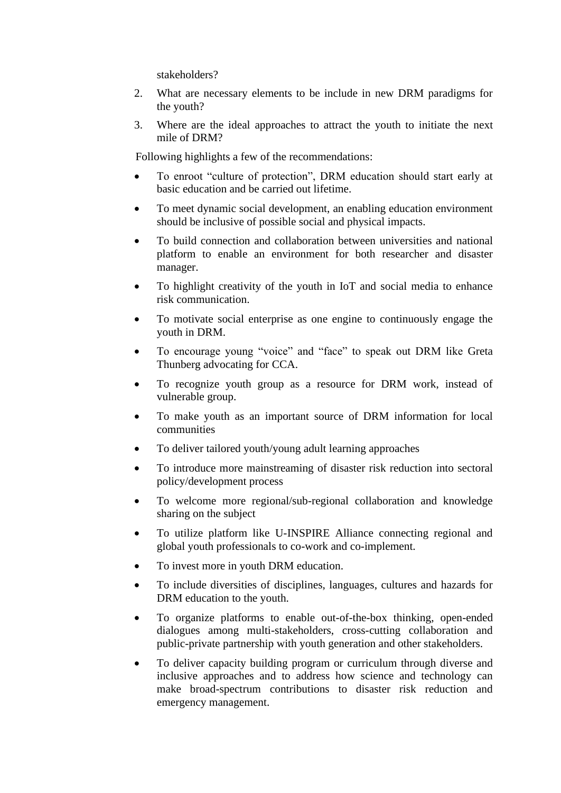stakeholders?

- 2. What are necessary elements to be include in new DRM paradigms for the youth?
- 3. Where are the ideal approaches to attract the youth to initiate the next mile of DRM?

Following highlights a few of the recommendations:

- To enroot "culture of protection", DRM education should start early at basic education and be carried out lifetime.
- To meet dynamic social development, an enabling education environment should be inclusive of possible social and physical impacts.
- To build connection and collaboration between universities and national platform to enable an environment for both researcher and disaster manager.
- To highlight creativity of the youth in IoT and social media to enhance risk communication.
- To motivate social enterprise as one engine to continuously engage the youth in DRM.
- To encourage young "voice" and "face" to speak out DRM like Greta Thunberg advocating for CCA.
- To recognize youth group as a resource for DRM work, instead of vulnerable group.
- To make youth as an important source of DRM information for local communities
- To deliver tailored youth/young adult learning approaches
- To introduce more mainstreaming of disaster risk reduction into sectoral policy/development process
- To welcome more regional/sub-regional collaboration and knowledge sharing on the subject
- To utilize platform like U-INSPIRE Alliance connecting regional and global youth professionals to co-work and co-implement.
- To invest more in youth DRM education.
- To include diversities of disciplines, languages, cultures and hazards for DRM education to the youth.
- To organize platforms to enable out-of-the-box thinking, open-ended dialogues among multi-stakeholders, cross-cutting collaboration and public-private partnership with youth generation and other stakeholders.
- To deliver capacity building program or curriculum through diverse and inclusive approaches and to address how science and technology can make broad-spectrum contributions to disaster risk reduction and emergency management.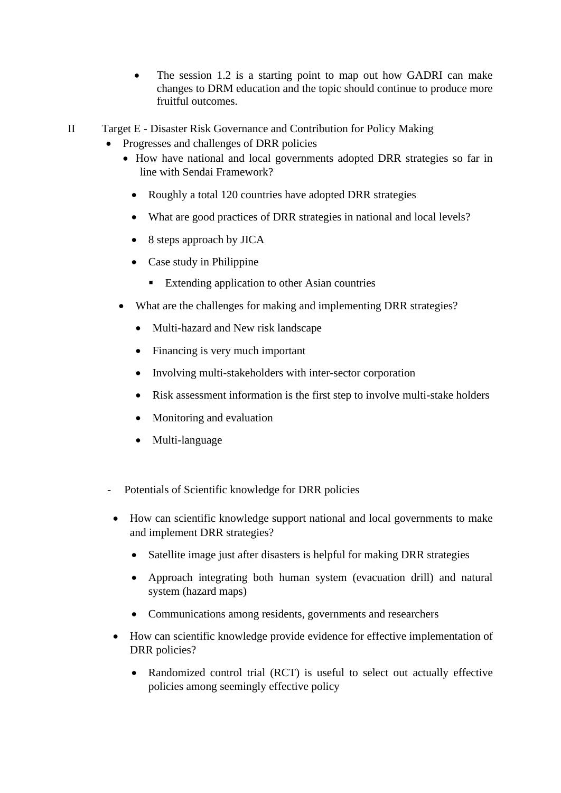- The session 1.2 is a starting point to map out how GADRI can make changes to DRM education and the topic should continue to produce more fruitful outcomes.
- II Target E Disaster Risk Governance and Contribution for Policy Making
	- Progresses and challenges of DRR policies
		- How have national and local governments adopted DRR strategies so far in line with Sendai Framework?
			- Roughly a total 120 countries have adopted DRR strategies
			- What are good practices of DRR strategies in national and local levels?
			- 8 steps approach by JICA
			- Case study in Philippine
				- Extending application to other Asian countries
		- What are the challenges for making and implementing DRR strategies?
			- Multi-hazard and New risk landscape
			- Financing is very much important
			- Involving multi-stakeholders with inter-sector corporation
			- Risk assessment information is the first step to involve multi-stake holders
			- Monitoring and evaluation
			- Multi-language
	- Potentials of Scientific knowledge for DRR policies
		- How can scientific knowledge support national and local governments to make and implement DRR strategies?
			- Satellite image just after disasters is helpful for making DRR strategies
			- Approach integrating both human system (evacuation drill) and natural system (hazard maps)
			- Communications among residents, governments and researchers
		- How can scientific knowledge provide evidence for effective implementation of DRR policies?
			- Randomized control trial (RCT) is useful to select out actually effective policies among seemingly effective policy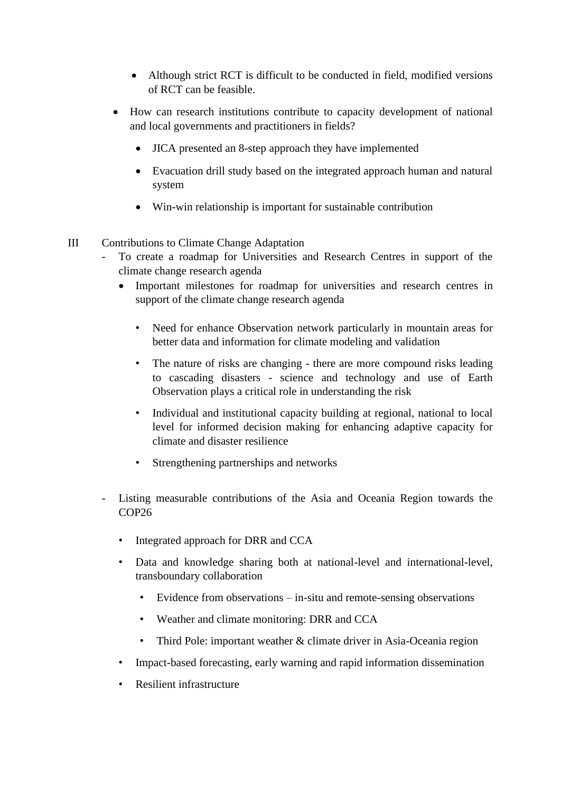- Although strict RCT is difficult to be conducted in field, modified versions of RCT can be feasible.
- How can research institutions contribute to capacity development of national and local governments and practitioners in fields?
	- JICA presented an 8-step approach they have implemented
	- Evacuation drill study based on the integrated approach human and natural system
	- Win-win relationship is important for sustainable contribution
- III Contributions to Climate Change Adaptation
	- To create a roadmap for Universities and Research Centres in support of the climate change research agenda
		- Important milestones for roadmap for universities and research centres in support of the climate change research agenda
			- Need for enhance Observation network particularly in mountain areas for better data and information for climate modeling and validation
			- The nature of risks are changing there are more compound risks leading to cascading disasters - science and technology and use of Earth Observation plays a critical role in understanding the risk
			- Individual and institutional capacity building at regional, national to local level for informed decision making for enhancing adaptive capacity for climate and disaster resilience
			- Strengthening partnerships and networks
	- Listing measurable contributions of the Asia and Oceania Region towards the COP<sub>26</sub>
		- Integrated approach for DRR and CCA
		- Data and knowledge sharing both at national-level and international-level, transboundary collaboration
			- Evidence from observations in-situ and remote-sensing observations
			- Weather and climate monitoring: DRR and CCA
			- Third Pole: important weather & climate driver in Asia-Oceania region
		- Impact-based forecasting, early warning and rapid information dissemination
		- Resilient infrastructure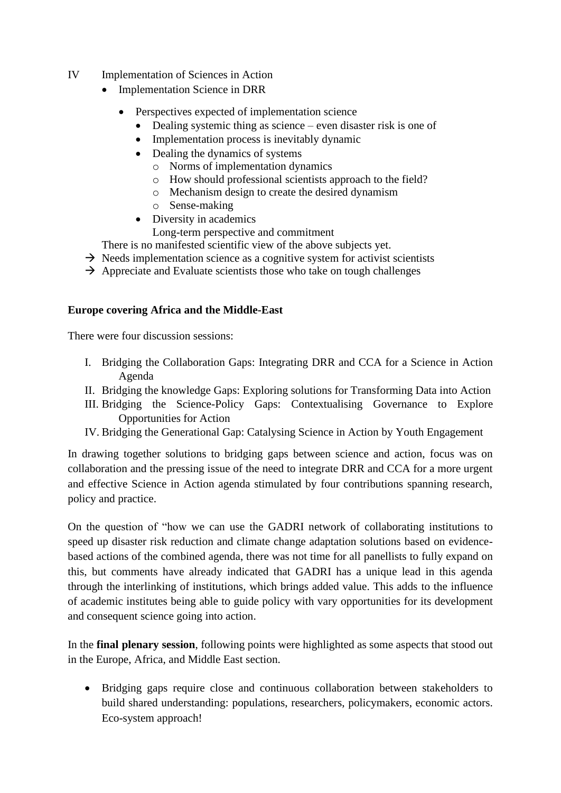- IV Implementation of Sciences in Action
	- Implementation Science in DRR
		- Perspectives expected of implementation science
			- Dealing systemic thing as science even disaster risk is one of
			- Implementation process is inevitably dynamic
			- Dealing the dynamics of systems
				- o Norms of implementation dynamics
				- o How should professional scientists approach to the field?
				- o Mechanism design to create the desired dynamism
				- o Sense-making
			- Diversity in academics
				- Long-term perspective and commitment
	- There is no manifested scientific view of the above subjects yet.
	- $\rightarrow$  Needs implementation science as a cognitive system for activist scientists
	- $\rightarrow$  Appreciate and Evaluate scientists those who take on tough challenges

### **Europe covering Africa and the Middle-East**

There were four discussion sessions:

- I. Bridging the Collaboration Gaps: Integrating DRR and CCA for a Science in Action Agenda
- II. Bridging the knowledge Gaps: Exploring solutions for Transforming Data into Action
- III. Bridging the Science-Policy Gaps: Contextualising Governance to Explore Opportunities for Action
- IV. Bridging the Generational Gap: Catalysing Science in Action by Youth Engagement

In drawing together solutions to bridging gaps between science and action, focus was on collaboration and the pressing issue of the need to integrate DRR and CCA for a more urgent and effective Science in Action agenda stimulated by four contributions spanning research, policy and practice.

On the question of "how we can use the GADRI network of collaborating institutions to speed up disaster risk reduction and climate change adaptation solutions based on evidencebased actions of the combined agenda, there was not time for all panellists to fully expand on this, but comments have already indicated that GADRI has a unique lead in this agenda through the interlinking of institutions, which brings added value. This adds to the influence of academic institutes being able to guide policy with vary opportunities for its development and consequent science going into action.

In the **final plenary session**, following points were highlighted as some aspects that stood out in the Europe, Africa, and Middle East section.

• Bridging gaps require close and continuous collaboration between stakeholders to build shared understanding: populations, researchers, policymakers, economic actors. Eco-system approach!